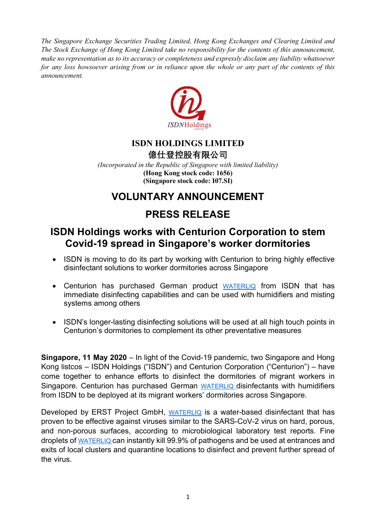The Singapore Exchange Securities Trading Limited, Hong Kong Exchanges and Clearing Limited and The Stock Exchange of Hong Kong Limited take no responsibility for the contents of this announcement, make no representation as to its accuracy or completeness and expressly disclaim any liability whatsoever for any loss howsoever arising from or in reliance upon the whole or any part of the contents of this announcement.



### ISDN HOLDINGS LIMITED

億仕登控股有限公司

(Incorporated in the Republic of Singapore with limited liability) (Hong Kong stock code: 1656) (Singapore stock code: I07.SI)

## VOLUNTARY ANNOUNCEMENT

# PRESS RELEASE

## ISDN Holdings works with Centurion Corporation to stem Covid-19 spread in Singapore's worker dormitories

- ISDN is moving to do its part by working with Centurion to bring highly effective disinfectant solutions to worker dormitories across Singapore
- Centurion has purchased German product WATERLIQ from ISDN that has immediate disinfecting capabilities and can be used with humidifiers and misting systems among others
- ISDN's longer-lasting disinfecting solutions will be used at all high touch points in Centurion's dormitories to complement its other preventative measures

Singapore, 11 May 2020 – In light of the Covid-19 pandemic, two Singapore and Hong Kong listcos – ISDN Holdings ("ISDN") and Centurion Corporation ("Centurion") – have come together to enhance efforts to disinfect the dormitories of migrant workers in Singapore. Centurion has purchased German WATERLIQ disinfectants with humidifiers from ISDN to be deployed at its migrant workers' dormitories across Singapore.

Developed by ERST Project GmbH, WATERLIQ is a water-based disinfectant that has proven to be effective against viruses similar to the SARS-CoV-2 virus on hard, porous, and non-porous surfaces, according to microbiological laboratory test reports. Fine droplets of WATERLIQ can instantly kill 99.9% of pathogens and be used at entrances and exits of local clusters and quarantine locations to disinfect and prevent further spread of the virus.